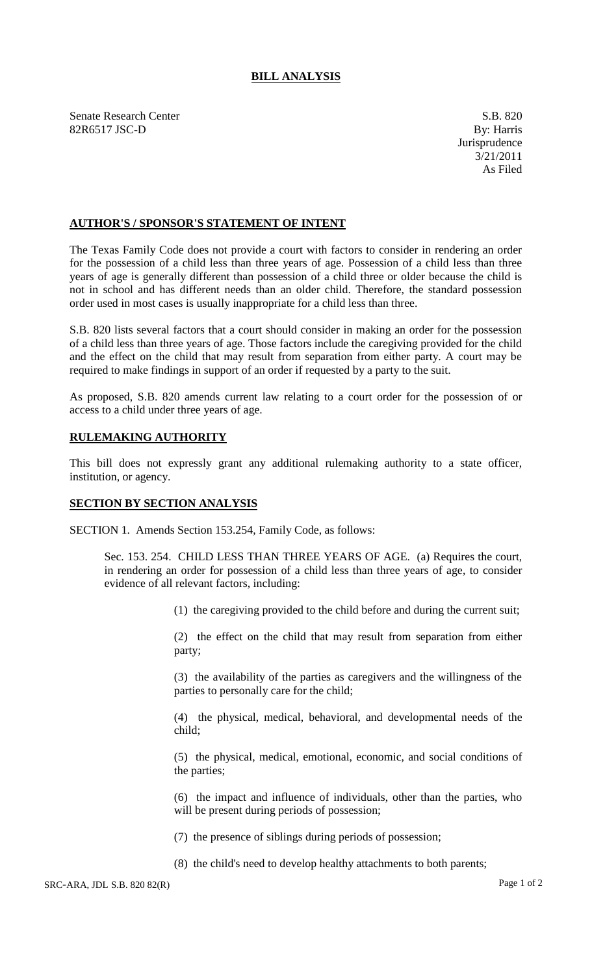## **BILL ANALYSIS**

Senate Research Center S.B. 820 82R6517 JSC-D By: Harris

## **AUTHOR'S / SPONSOR'S STATEMENT OF INTENT**

The Texas Family Code does not provide a court with factors to consider in rendering an order for the possession of a child less than three years of age. Possession of a child less than three years of age is generally different than possession of a child three or older because the child is not in school and has different needs than an older child. Therefore, the standard possession order used in most cases is usually inappropriate for a child less than three.

S.B. 820 lists several factors that a court should consider in making an order for the possession of a child less than three years of age. Those factors include the caregiving provided for the child and the effect on the child that may result from separation from either party. A court may be required to make findings in support of an order if requested by a party to the suit.

As proposed, S.B. 820 amends current law relating to a court order for the possession of or access to a child under three years of age.

## **RULEMAKING AUTHORITY**

This bill does not expressly grant any additional rulemaking authority to a state officer, institution, or agency.

## **SECTION BY SECTION ANALYSIS**

SECTION 1. Amends Section 153.254, Family Code, as follows:

Sec. 153. 254. CHILD LESS THAN THREE YEARS OF AGE. (a) Requires the court, in rendering an order for possession of a child less than three years of age, to consider evidence of all relevant factors, including:

(1) the caregiving provided to the child before and during the current suit;

(2) the effect on the child that may result from separation from either party;

(3) the availability of the parties as caregivers and the willingness of the parties to personally care for the child;

(4) the physical, medical, behavioral, and developmental needs of the child;

(5) the physical, medical, emotional, economic, and social conditions of the parties;

(6) the impact and influence of individuals, other than the parties, who will be present during periods of possession;

(7) the presence of siblings during periods of possession;

(8) the child's need to develop healthy attachments to both parents;